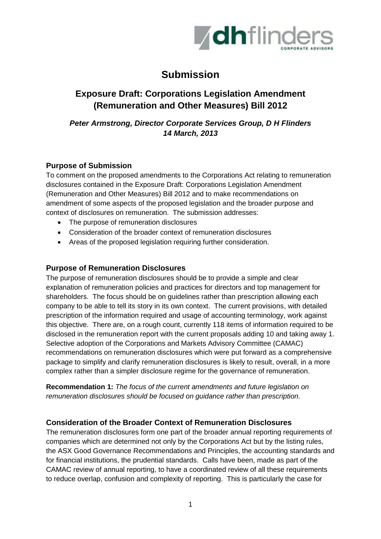

# **Submission**

## **Exposure Draft: Corporations Legislation Amendment (Remuneration and Other Measures) Bill 2012**

*Peter Armstrong, Director Corporate Services Group, D H Flinders 14 March, 2013*

## **Purpose of Submission**

To comment on the proposed amendments to the Corporations Act relating to remuneration disclosures contained in the Exposure Draft: Corporations Legislation Amendment (Remuneration and Other Measures) Bill 2012 and to make recommendations on amendment of some aspects of the proposed legislation and the broader purpose and context of disclosures on remuneration. The submission addresses:

- The purpose of remuneration disclosures
- Consideration of the broader context of remuneration disclosures
- Areas of the proposed legislation requiring further consideration.

## **Purpose of Remuneration Disclosures**

The purpose of remuneration disclosures should be to provide a simple and clear explanation of remuneration policies and practices for directors and top management for shareholders. The focus should be on guidelines rather than prescription allowing each company to be able to tell its story in its own context. The current provisions, with detailed prescription of the information required and usage of accounting terminology, work against this objective. There are, on a rough count, currently 118 items of information required to be disclosed in the remuneration report with the current proposals adding 10 and taking away 1. Selective adoption of the Corporations and Markets Advisory Committee (CAMAC) recommendations on remuneration disclosures which were put forward as a comprehensive package to simplify and clarify remuneration disclosures is likely to result, overall, in a more complex rather than a simpler disclosure regime for the governance of remuneration.

**Recommendation 1:** *The focus of the current amendments and future legislation on remuneration disclosures should be focused on guidance rather than prescription.*

## **Consideration of the Broader Context of Remuneration Disclosures**

The remuneration disclosures form one part of the broader annual reporting requirements of companies which are determined not only by the Corporations Act but by the listing rules, the ASX Good Governance Recommendations and Principles, the accounting standards and for financial institutions, the prudential standards. Calls have been, made as part of the CAMAC review of annual reporting, to have a coordinated review of all these requirements to reduce overlap, confusion and complexity of reporting. This is particularly the case for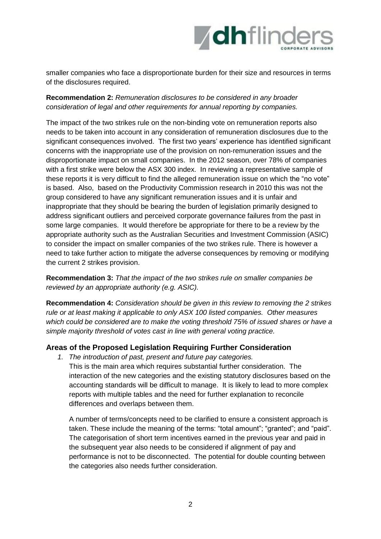

smaller companies who face a disproportionate burden for their size and resources in terms of the disclosures required.

## **Recommendation 2:** *Remuneration disclosures to be considered in any broader consideration of legal and other requirements for annual reporting by companies.*

The impact of the two strikes rule on the non-binding vote on remuneration reports also needs to be taken into account in any consideration of remuneration disclosures due to the significant consequences involved. The first two years' experience has identified significant concerns with the inappropriate use of the provision on non-remuneration issues and the disproportionate impact on small companies. In the 2012 season, over 78% of companies with a first strike were below the ASX 300 index. In reviewing a representative sample of these reports it is very difficult to find the alleged remuneration issue on which the "no vote" is based. Also, based on the Productivity Commission research in 2010 this was not the group considered to have any significant remuneration issues and it is unfair and inappropriate that they should be bearing the burden of legislation primarily designed to address significant outliers and perceived corporate governance failures from the past in some large companies. It would therefore be appropriate for there to be a review by the appropriate authority such as the Australian Securities and Investment Commission (ASIC) to consider the impact on smaller companies of the two strikes rule. There is however a need to take further action to mitigate the adverse consequences by removing or modifying the current 2 strikes provision.

**Recommendation 3:** *That the impact of the two strikes rule on smaller companies be reviewed by an appropriate authority (e.g. ASIC).* 

**Recommendation 4:** *Consideration should be given in this review to removing the 2 strikes rule or at least making it applicable to only ASX 100 listed companies. Other measures which could be considered are to make the voting threshold 75% of issued shares or have a simple majority threshold of votes cast in line with general voting practice.* 

#### **Areas of the Proposed Legislation Requiring Further Consideration**

*1. The introduction of past, present and future pay categories.*

This is the main area which requires substantial further consideration. The interaction of the new categories and the existing statutory disclosures based on the accounting standards will be difficult to manage. It is likely to lead to more complex reports with multiple tables and the need for further explanation to reconcile differences and overlaps between them.

A number of terms/concepts need to be clarified to ensure a consistent approach is taken. These include the meaning of the terms: "total amount"; "granted"; and "paid". The categorisation of short term incentives earned in the previous year and paid in the subsequent year also needs to be considered if alignment of pay and performance is not to be disconnected. The potential for double counting between the categories also needs further consideration.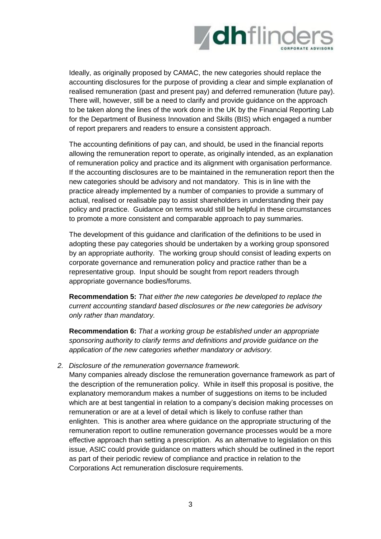

Ideally, as originally proposed by CAMAC, the new categories should replace the accounting disclosures for the purpose of providing a clear and simple explanation of realised remuneration (past and present pay) and deferred remuneration (future pay). There will, however, still be a need to clarify and provide guidance on the approach to be taken along the lines of the work done in the UK by the Financial Reporting Lab for the Department of Business Innovation and Skills (BIS) which engaged a number of report preparers and readers to ensure a consistent approach.

The accounting definitions of pay can, and should, be used in the financial reports allowing the remuneration report to operate, as originally intended, as an explanation of remuneration policy and practice and its alignment with organisation performance. If the accounting disclosures are to be maintained in the remuneration report then the new categories should be advisory and not mandatory. This is in line with the practice already implemented by a number of companies to provide a summary of actual, realised or realisable pay to assist shareholders in understanding their pay policy and practice. Guidance on terms would still be helpful in these circumstances to promote a more consistent and comparable approach to pay summaries.

The development of this guidance and clarification of the definitions to be used in adopting these pay categories should be undertaken by a working group sponsored by an appropriate authority. The working group should consist of leading experts on corporate governance and remuneration policy and practice rather than be a representative group. Input should be sought from report readers through appropriate governance bodies/forums.

**Recommendation 5:** *That either the new categories be developed to replace the current accounting standard based disclosures or the new categories be advisory only rather than mandatory.*

**Recommendation 6:** *That a working group be established under an appropriate sponsoring authority to clarify terms and definitions and provide guidance on the application of the new categories whether mandatory or advisory.*

#### *2. Disclosure of the remuneration governance framework.*

Many companies already disclose the remuneration governance framework as part of the description of the remuneration policy. While in itself this proposal is positive, the explanatory memorandum makes a number of suggestions on items to be included which are at best tangential in relation to a company's decision making processes on remuneration or are at a level of detail which is likely to confuse rather than enlighten. This is another area where guidance on the appropriate structuring of the remuneration report to outline remuneration governance processes would be a more effective approach than setting a prescription. As an alternative to legislation on this issue, ASIC could provide guidance on matters which should be outlined in the report as part of their periodic review of compliance and practice in relation to the Corporations Act remuneration disclosure requirements.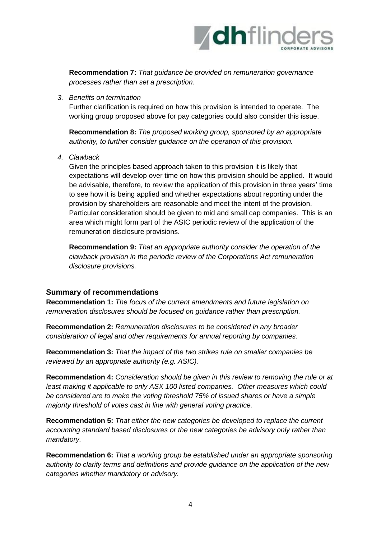

**Recommendation 7:** *That guidance be provided on remuneration governance processes rather than set a prescription.*

*3. Benefits on termination*

Further clarification is required on how this provision is intended to operate. The working group proposed above for pay categories could also consider this issue.

**Recommendation 8:** *The proposed working group, sponsored by an appropriate authority, to further consider guidance on the operation of this provision.*

*4. Clawback*

Given the principles based approach taken to this provision it is likely that expectations will develop over time on how this provision should be applied. It would be advisable, therefore, to review the application of this provision in three years' time to see how it is being applied and whether expectations about reporting under the provision by shareholders are reasonable and meet the intent of the provision. Particular consideration should be given to mid and small cap companies. This is an area which might form part of the ASIC periodic review of the application of the remuneration disclosure provisions.

**Recommendation 9:** *That an appropriate authority consider the operation of the clawback provision in the periodic review of the Corporations Act remuneration disclosure provisions.*

## **Summary of recommendations**

**Recommendation 1:** *The focus of the current amendments and future legislation on remuneration disclosures should be focused on guidance rather than prescription.*

**Recommendation 2:** *Remuneration disclosures to be considered in any broader consideration of legal and other requirements for annual reporting by companies.*

**Recommendation 3:** *That the impact of the two strikes rule on smaller companies be reviewed by an appropriate authority (e.g. ASIC).* 

**Recommendation 4:** *Consideration should be given in this review to removing the rule or at least making it applicable to only ASX 100 listed companies. Other measures which could be considered are to make the voting threshold 75% of issued shares or have a simple majority threshold of votes cast in line with general voting practice.*

**Recommendation 5:** *That either the new categories be developed to replace the current accounting standard based disclosures or the new categories be advisory only rather than mandatory.*

**Recommendation 6:** *That a working group be established under an appropriate sponsoring authority to clarify terms and definitions and provide guidance on the application of the new categories whether mandatory or advisory.*